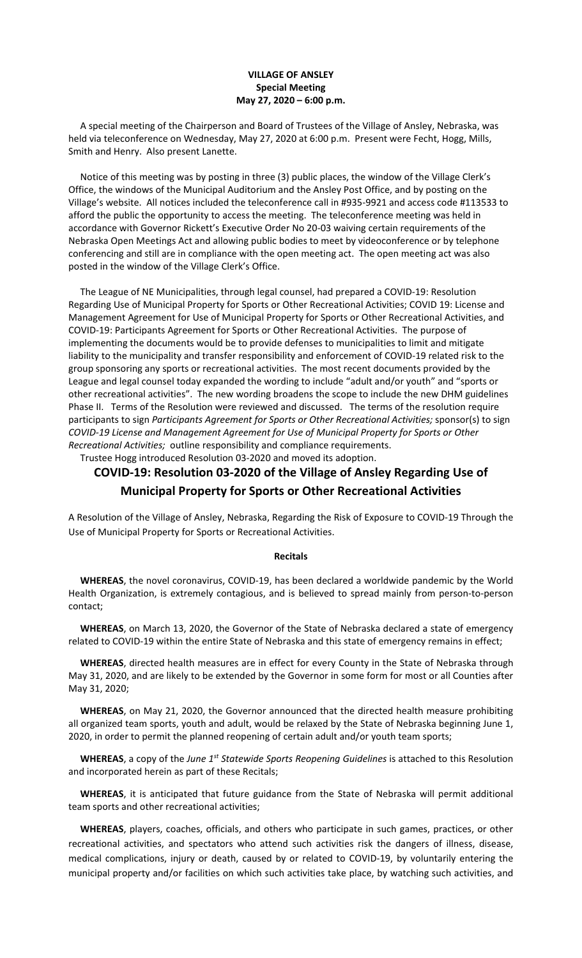## **VILLAGE OF ANSLEY Special Meeting May 27, 2020 – 6:00 p.m.**

 A special meeting of the Chairperson and Board of Trustees of the Village of Ansley, Nebraska, was held via teleconference on Wednesday, May 27, 2020 at 6:00 p.m. Present were Fecht, Hogg, Mills, Smith and Henry. Also present Lanette.

 Notice of this meeting was by posting in three (3) public places, the window of the Village Clerk's Office, the windows of the Municipal Auditorium and the Ansley Post Office, and by posting on the Village's website. All notices included the teleconference call in #935-9921 and access code #113533 to afford the public the opportunity to access the meeting. The teleconference meeting was held in accordance with Governor Rickett's Executive Order No 20-03 waiving certain requirements of the Nebraska Open Meetings Act and allowing public bodies to meet by videoconference or by telephone conferencing and still are in compliance with the open meeting act. The open meeting act was also posted in the window of the Village Clerk's Office.

 The League of NE Municipalities, through legal counsel, had prepared a COVID-19: Resolution Regarding Use of Municipal Property for Sports or Other Recreational Activities; COVID 19: License and Management Agreement for Use of Municipal Property for Sports or Other Recreational Activities, and COVID-19: Participants Agreement for Sports or Other Recreational Activities. The purpose of implementing the documents would be to provide defenses to municipalities to limit and mitigate liability to the municipality and transfer responsibility and enforcement of COVID-19 related risk to the group sponsoring any sports or recreational activities. The most recent documents provided by the League and legal counsel today expanded the wording to include "adult and/or youth" and "sports or other recreational activities". The new wording broadens the scope to include the new DHM guidelines Phase II. Terms of the Resolution were reviewed and discussed. The terms of the resolution require participants to sign *Participants Agreement for Sports or Other Recreational Activities;* sponsor(s) to sign *COVID-19 License and Management Agreement for Use of Municipal Property for Sports or Other Recreational Activities;* outline responsibility and compliance requirements.

Trustee Hogg introduced Resolution 03-2020 and moved its adoption.

## **COVID-19: Resolution 03-2020 of the Village of Ansley Regarding Use of Municipal Property for Sports or Other Recreational Activities**

A Resolution of the Village of Ansley, Nebraska, Regarding the Risk of Exposure to COVID-19 Through the Use of Municipal Property for Sports or Recreational Activities.

## **Recitals**

 **WHEREAS**, the novel coronavirus, COVID-19, has been declared a worldwide pandemic by the World Health Organization, is extremely contagious, and is believed to spread mainly from person-to-person contact;

 **WHEREAS**, on March 13, 2020, the Governor of the State of Nebraska declared a state of emergency related to COVID-19 within the entire State of Nebraska and this state of emergency remains in effect;

 **WHEREAS**, directed health measures are in effect for every County in the State of Nebraska through May 31, 2020, and are likely to be extended by the Governor in some form for most or all Counties after May 31, 2020;

 **WHEREAS**, on May 21, 2020, the Governor announced that the directed health measure prohibiting all organized team sports, youth and adult, would be relaxed by the State of Nebraska beginning June 1, 2020, in order to permit the planned reopening of certain adult and/or youth team sports;

 **WHEREAS**, a copy of the *June 1st Statewide Sports Reopening Guidelines* is attached to this Resolution and incorporated herein as part of these Recitals;

 **WHEREAS**, it is anticipated that future guidance from the State of Nebraska will permit additional team sports and other recreational activities;

 **WHEREAS**, players, coaches, officials, and others who participate in such games, practices, or other recreational activities, and spectators who attend such activities risk the dangers of illness, disease, medical complications, injury or death, caused by or related to COVID-19, by voluntarily entering the municipal property and/or facilities on which such activities take place, by watching such activities, and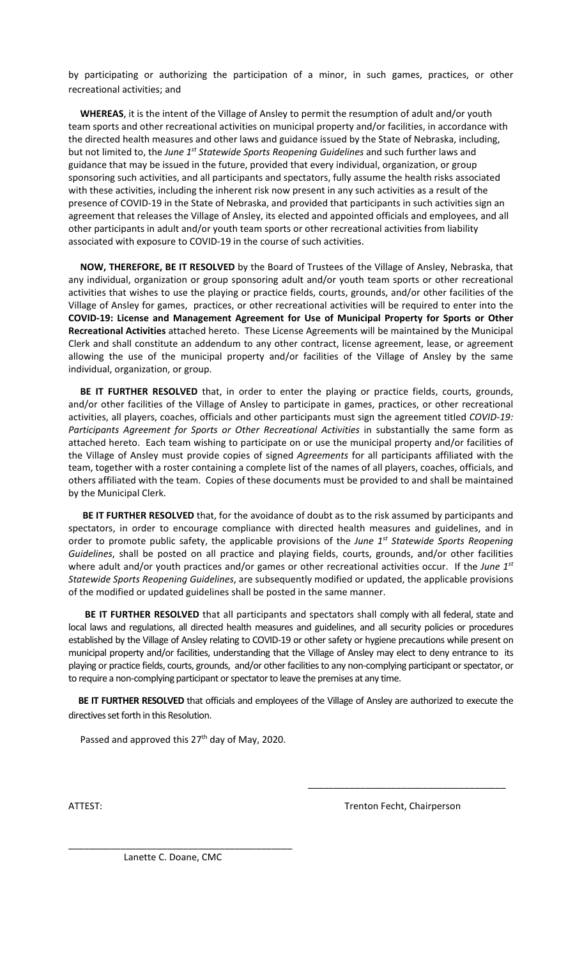by participating or authorizing the participation of a minor, in such games, practices, or other recreational activities; and

 **WHEREAS**, it is the intent of the Village of Ansley to permit the resumption of adult and/or youth team sports and other recreational activities on municipal property and/or facilities, in accordance with the directed health measures and other laws and guidance issued by the State of Nebraska, including, but not limited to, the *June 1st Statewide Sports Reopening Guidelines* and such further laws and guidance that may be issued in the future, provided that every individual, organization, or group sponsoring such activities, and all participants and spectators, fully assume the health risks associated with these activities, including the inherent risk now present in any such activities as a result of the presence of COVID-19 in the State of Nebraska, and provided that participants in such activities sign an agreement that releases the Village of Ansley, its elected and appointed officials and employees, and all other participants in adult and/or youth team sports or other recreational activities from liability associated with exposure to COVID-19 in the course of such activities.

 **NOW, THEREFORE, BE IT RESOLVED** by the Board of Trustees of the Village of Ansley, Nebraska, that any individual, organization or group sponsoring adult and/or youth team sports or other recreational activities that wishes to use the playing or practice fields, courts, grounds, and/or other facilities of the Village of Ansley for games, practices, or other recreational activities will be required to enter into the **COVID-19: License and Management Agreement for Use of Municipal Property for Sports or Other Recreational Activities** attached hereto. These License Agreements will be maintained by the Municipal Clerk and shall constitute an addendum to any other contract, license agreement, lease, or agreement allowing the use of the municipal property and/or facilities of the Village of Ansley by the same individual, organization, or group.

 **BE IT FURTHER RESOLVED** that, in order to enter the playing or practice fields, courts, grounds, and/or other facilities of the Village of Ansley to participate in games, practices, or other recreational activities, all players, coaches, officials and other participants must sign the agreement titled *COVID-19: Participants Agreement for Sports or Other Recreational Activities* in substantially the same form as attached hereto. Each team wishing to participate on or use the municipal property and/or facilities of the Village of Ansley must provide copies of signed *Agreements* for all participants affiliated with the team, together with a roster containing a complete list of the names of all players, coaches, officials, and others affiliated with the team. Copies of these documents must be provided to and shall be maintained by the Municipal Clerk.

 **BE IT FURTHER RESOLVED** that, for the avoidance of doubt as to the risk assumed by participants and spectators, in order to encourage compliance with directed health measures and guidelines, and in order to promote public safety, the applicable provisions of the *June 1st Statewide Sports Reopening Guidelines*, shall be posted on all practice and playing fields, courts, grounds, and/or other facilities where adult and/or youth practices and/or games or other recreational activities occur. If the *June 1st Statewide Sports Reopening Guidelines*, are subsequently modified or updated, the applicable provisions of the modified or updated guidelines shall be posted in the same manner.

 **BE IT FURTHER RESOLVED** that all participants and spectators shall comply with all federal, state and local laws and regulations, all directed health measures and guidelines, and all security policies or procedures established by the Village of Ansley relating to COVID-19 or other safety or hygiene precautions while present on municipal property and/or facilities, understanding that the Village of Ansley may elect to deny entrance to its playing or practice fields, courts, grounds, and/or other facilitiesto any non-complying participant or spectator, or to require a non-complying participant or spectator to leave the premises at any time.

 **BE IT FURTHER RESOLVED** that officials and employees of the Village of Ansley are authorized to execute the directives set forth in this Resolution.

Passed and approved this 27<sup>th</sup> day of May, 2020.

ATTEST: **Trenton Fecht, Chairperson** 

\_\_\_\_\_\_\_\_\_\_\_\_\_\_\_\_\_\_\_\_\_\_\_\_\_\_\_\_\_\_\_\_\_\_\_\_\_\_

Lanette C. Doane, CMC

\_\_\_\_\_\_\_\_\_\_\_\_\_\_\_\_\_\_\_\_\_\_\_\_\_\_\_\_\_\_\_\_\_\_\_\_\_\_\_\_\_\_\_